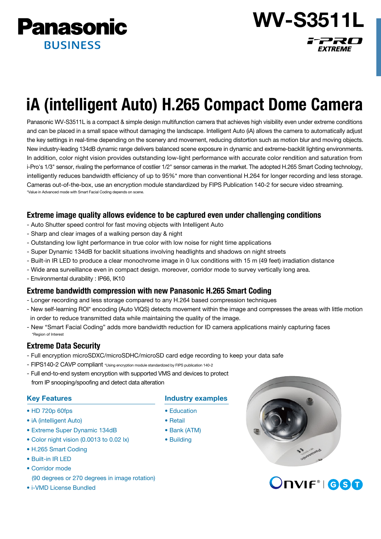

WV-S3511L 77RO

**EXTREME** 

# iA (intelligent Auto) H.265 Compact Dome Camera

Panasonic WV-S3511L is a compact & simple design multifunction camera that achieves high visibility even under extreme conditions and can be placed in a small space without damaging the landscape. Intelligent Auto (iA) allows the camera to automatically adjust the key settings in real-time depending on the scenery and movement, reducing distortion such as motion blur and moving objects. New industry-leading 134dB dynamic range delivers balanced scene exposure in dynamic and extreme-backlit lighting environments. In addition, color night vision provides outstanding low-light performance with accurate color rendition and saturation from i-Pro's 1/3" sensor, rivaling the performance of costlier 1/2" sensor cameras in the market. The adopted H.265 Smart Coding technology, intelligently reduces bandwidth efficiency of up to 95%\* more than conventional H.264 for longer recording and less storage. Cameras out-of-the-box, use an encryption module standardized by FIPS Publication 140-2 for secure video streaming. \*Value in Advanced mode with Smart Facial Coding depends on scene.

# Extreme image quality allows evidence to be captured even under challenging conditions

- Auto Shutter speed control for fast moving objects with Intelligent Auto
- Sharp and clear images of a walking person day & night
- Outstanding low light performance in true color with low noise for night time applications
- Super Dynamic 134dB for backlit situations involving headlights and shadows on night streets
- Built-in IR LED to produce a clear monochrome image in 0 lux conditions with 15 m (49 feet) irradiation distance
- Wide area surveillance even in compact design. moreover, corridor mode to survey vertically long area.
- Environmental durability : IP66, IK10

# Extreme bandwidth compression with new Panasonic H.265 Smart Coding

- Longer recording and less storage compared to any H.264 based compression techniques
- New self-learning ROI\* encoding (Auto VIQS) detects movement within the image and compresses the areas with little motion in order to reduce transmitted data while maintaining the quality of the image.
- New "Smart Facial Coding" adds more bandwidth reduction for ID camera applications mainly capturing faces \*Region of Interest

# Extreme Data Security

- Full encryption microSDXC/microSDHC/microSD card edge recording to keep your data safe
- FIPS140-2 CAVP compliant \*Using encryption module standardized by FIPS publication 140-2
- Full end-to-end system encryption with supported VMS and devices to protect from IP snooping/spoofing and detect data alteration

## Key Features

- HD 720p 60fps
- iA (intelligent Auto)
- Extreme Super Dynamic 134dB
- Color night vision (0.0013 to 0.02 lx)
- H.265 Smart Coding
- Built-in IR LED
- Corridor mode
- (90 degrees or 270 degrees in image rotation)
- i-VMD License Bundled

## Industry examples

- Education
- Retail
- Bank (ATM)
- Building